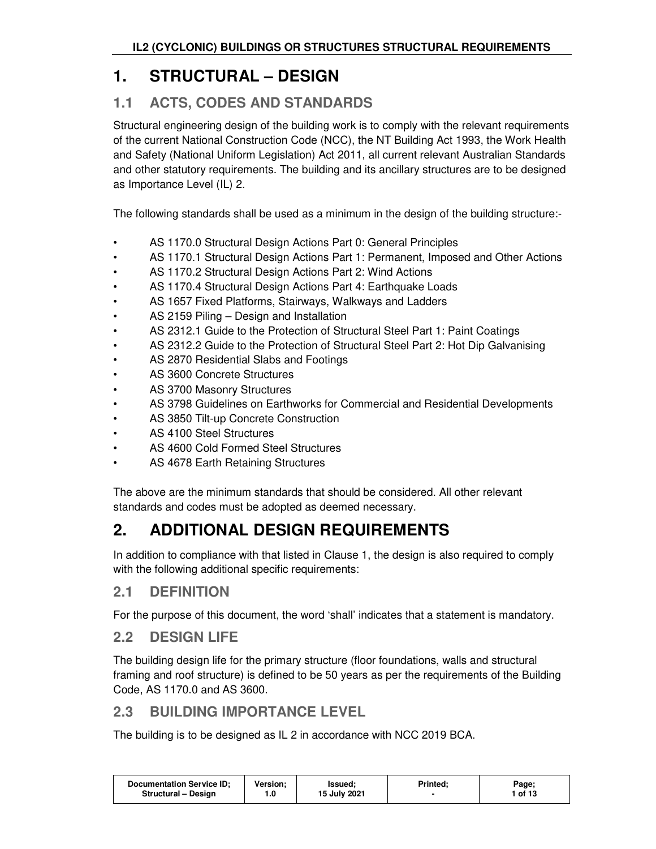# **1. STRUCTURAL – DESIGN**

## **1.1 ACTS, CODES AND STANDARDS**

Structural engineering design of the building work is to comply with the relevant requirements of the current National Construction Code (NCC), the NT Building Act 1993, the Work Health and Safety (National Uniform Legislation) Act 2011, all current relevant Australian Standards and other statutory requirements. The building and its ancillary structures are to be designed as Importance Level (IL) 2.

The following standards shall be used as a minimum in the design of the building structure:-

- AS 1170.0 Structural Design Actions Part 0: General Principles
- AS 1170.1 Structural Design Actions Part 1: Permanent, Imposed and Other Actions
- AS 1170.2 Structural Design Actions Part 2: Wind Actions
- AS 1170.4 Structural Design Actions Part 4: Earthquake Loads
- AS 1657 Fixed Platforms, Stairways, Walkways and Ladders
- AS 2159 Piling Design and Installation
- AS 2312.1 Guide to the Protection of Structural Steel Part 1: Paint Coatings
- AS 2312.2 Guide to the Protection of Structural Steel Part 2: Hot Dip Galvanising
- AS 2870 Residential Slabs and Footings
- AS 3600 Concrete Structures
- AS 3700 Masonry Structures
- AS 3798 Guidelines on Earthworks for Commercial and Residential Developments
- AS 3850 Tilt-up Concrete Construction
- AS 4100 Steel Structures
- AS 4600 Cold Formed Steel Structures
- AS 4678 Earth Retaining Structures

The above are the minimum standards that should be considered. All other relevant standards and codes must be adopted as deemed necessary.

# **2. ADDITIONAL DESIGN REQUIREMENTS**

In addition to compliance with that listed in Clause 1, the design is also required to comply with the following additional specific requirements:

## **2.1 DEFINITION**

For the purpose of this document, the word 'shall' indicates that a statement is mandatory.

## **2.2 DESIGN LIFE**

The building design life for the primary structure (floor foundations, walls and structural framing and roof structure) is defined to be 50 years as per the requirements of the Building Code, AS 1170.0 and AS 3600.

## **2.3 BUILDING IMPORTANCE LEVEL**

The building is to be designed as IL 2 in accordance with NCC 2019 BCA.

| <b>Documentation Service ID:</b><br><b>Version:</b><br><b>Issued:</b><br>15 July 2021<br><b>Structural - Design</b> | <b>Printed:</b> | Page;<br>1 of 13 |
|---------------------------------------------------------------------------------------------------------------------|-----------------|------------------|
|---------------------------------------------------------------------------------------------------------------------|-----------------|------------------|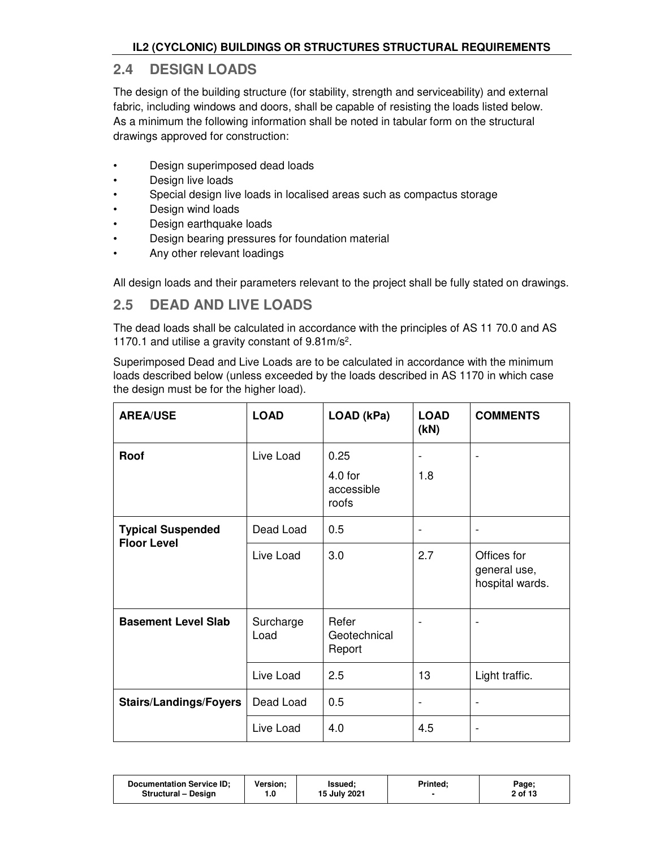## **2.4 DESIGN LOADS**

The design of the building structure (for stability, strength and serviceability) and external fabric, including windows and doors, shall be capable of resisting the loads listed below. As a minimum the following information shall be noted in tabular form on the structural drawings approved for construction:

- Design superimposed dead loads
- Design live loads
- Special design live loads in localised areas such as compactus storage
- Design wind loads
- Design earthquake loads
- Design bearing pressures for foundation material
- Any other relevant loadings

All design loads and their parameters relevant to the project shall be fully stated on drawings.

## **2.5 DEAD AND LIVE LOADS**

The dead loads shall be calculated in accordance with the principles of AS 11 70.0 and AS 1170.1 and utilise a gravity constant of 9.81m/s<sup>2</sup> .

Superimposed Dead and Live Loads are to be calculated in accordance with the minimum loads described below (unless exceeded by the loads described in AS 1170 in which case the design must be for the higher load).

| <b>AREA/USE</b>                                | <b>LOAD</b>       | LOAD (kPa)                               | <b>LOAD</b><br>(kN) | <b>COMMENTS</b>                                |
|------------------------------------------------|-------------------|------------------------------------------|---------------------|------------------------------------------------|
| Roof                                           | Live Load         | 0.25<br>$4.0$ for<br>accessible<br>roofs | 1.8                 |                                                |
| <b>Typical Suspended</b><br><b>Floor Level</b> | Dead Load         | 0.5                                      | $\overline{a}$      |                                                |
|                                                | Live Load         | 3.0                                      | 2.7                 | Offices for<br>general use,<br>hospital wards. |
| <b>Basement Level Slab</b>                     | Surcharge<br>Load | Refer<br>Geotechnical<br>Report          |                     |                                                |
|                                                | Live Load         | 2.5                                      | 13                  | Light traffic.                                 |
| <b>Stairs/Landings/Foyers</b>                  | Dead Load         | 0.5                                      | $\overline{a}$      | $\overline{\phantom{a}}$                       |
|                                                | Live Load         | 4.0                                      | 4.5                 |                                                |

| 15 July 2021<br>2 of 13<br>Structural - Design<br>0. ا | <b>Documentation Service ID:</b> | Version: | lssued: | Printed: | Page; |
|--------------------------------------------------------|----------------------------------|----------|---------|----------|-------|
|--------------------------------------------------------|----------------------------------|----------|---------|----------|-------|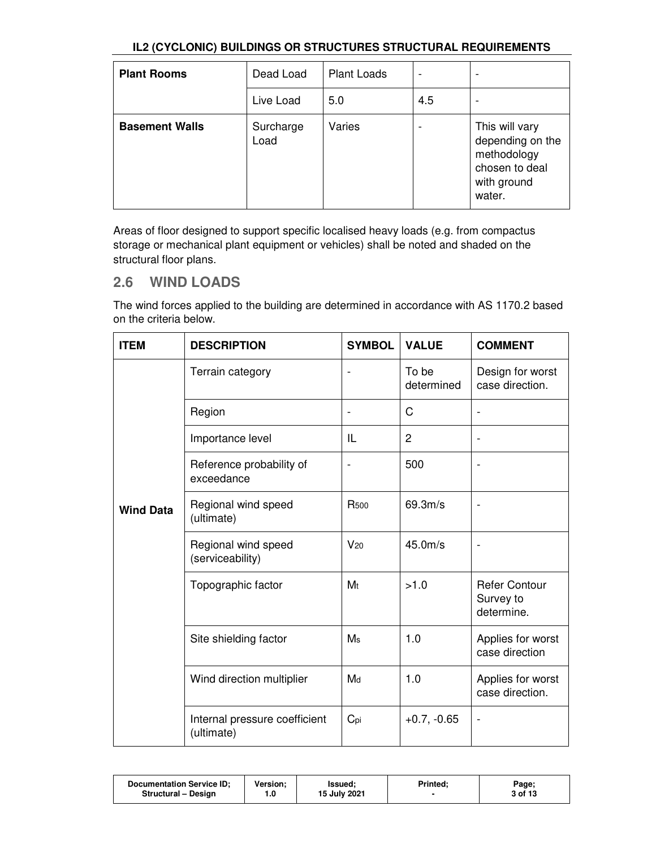| <b>Plant Rooms</b>    | Dead Load         | Plant Loads | -   | $\overline{\phantom{a}}$                                                                     |
|-----------------------|-------------------|-------------|-----|----------------------------------------------------------------------------------------------|
|                       | Live Load         | 5.0         | 4.5 | $\overline{\phantom{a}}$                                                                     |
| <b>Basement Walls</b> | Surcharge<br>Load | Varies      |     | This will vary<br>depending on the<br>methodology<br>chosen to deal<br>with ground<br>water. |

Areas of floor designed to support specific localised heavy loads (e.g. from compactus storage or mechanical plant equipment or vehicles) shall be noted and shaded on the structural floor plans.

## **2.6 WIND LOADS**

The wind forces applied to the building are determined in accordance with AS 1170.2 based on the criteria below.

| <b>ITEM</b>      | <b>DESCRIPTION</b>                          | <b>SYMBOL</b>            | <b>VALUE</b>        | <b>COMMENT</b>                                  |
|------------------|---------------------------------------------|--------------------------|---------------------|-------------------------------------------------|
|                  | Terrain category                            | $\blacksquare$           | To be<br>determined | Design for worst<br>case direction.             |
|                  | Region                                      | $\overline{\phantom{a}}$ | C                   | $\blacksquare$                                  |
|                  | Importance level                            | IL                       | $\overline{2}$      |                                                 |
|                  | Reference probability of<br>exceedance      |                          | 500                 |                                                 |
| <b>Wind Data</b> | Regional wind speed<br>(ultimate)           | <b>R</b> 500             | 69.3m/s             |                                                 |
|                  | Regional wind speed<br>(serviceability)     | $V_{20}$                 | 45.0 <sub>m/s</sub> |                                                 |
|                  | Topographic factor                          | M <sub>t</sub>           | >1.0                | <b>Refer Contour</b><br>Survey to<br>determine. |
|                  | Site shielding factor                       | Ms                       | 1.0                 | Applies for worst<br>case direction             |
|                  | Wind direction multiplier                   | Md                       | 1.0                 | Applies for worst<br>case direction.            |
|                  | Internal pressure coefficient<br>(ultimate) | Cpi                      | $+0.7, -0.65$       |                                                 |

| 15 July 2021<br>3 of 13<br><b>Structural - Design</b><br>0. ا | Documentation Service ID; | Version: | <b>Issued:</b> | <b>Printed:</b> | Page; |  |
|---------------------------------------------------------------|---------------------------|----------|----------------|-----------------|-------|--|
|---------------------------------------------------------------|---------------------------|----------|----------------|-----------------|-------|--|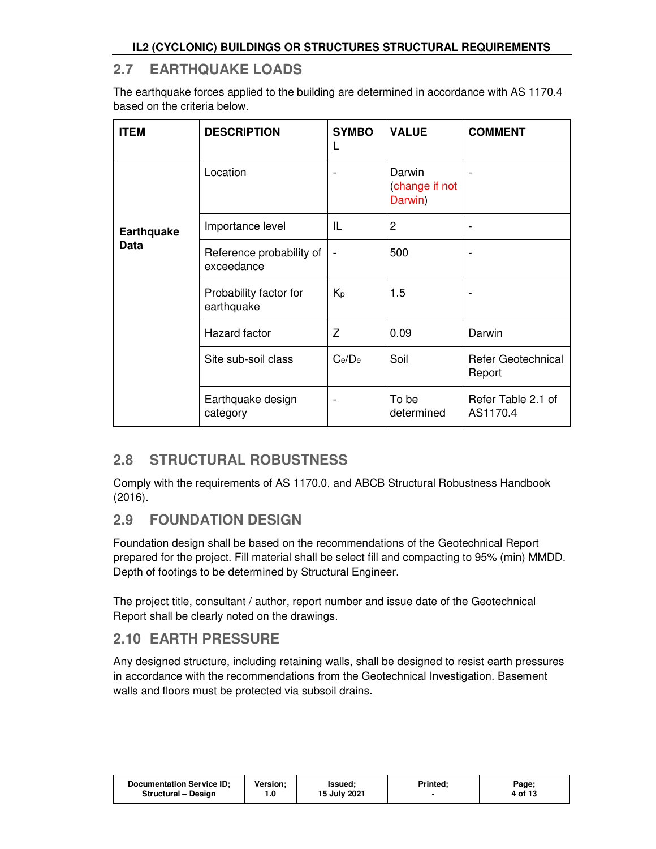## **2.7 EARTHQUAKE LOADS**

The earthquake forces applied to the building are determined in accordance with AS 1170.4 based on the criteria below.

| <b>ITEM</b>       | <b>DESCRIPTION</b>                     | <b>SYMBO</b><br>L | <b>VALUE</b>                        | <b>COMMENT</b>                      |
|-------------------|----------------------------------------|-------------------|-------------------------------------|-------------------------------------|
|                   | Location                               |                   | Darwin<br>(change if not<br>Darwin) |                                     |
| <b>Earthquake</b> | Importance level                       | IL                | 2                                   |                                     |
| <b>Data</b>       | Reference probability of<br>exceedance |                   | 500                                 |                                     |
|                   | Probability factor for<br>earthquake   | Kp                | 1.5                                 |                                     |
|                   | Hazard factor                          | Z                 | 0.09                                | Darwin                              |
|                   | Site sub-soil class                    | Ce/De             | Soil                                | <b>Refer Geotechnical</b><br>Report |
|                   | Earthquake design<br>category          |                   | To be<br>determined                 | Refer Table 2.1 of<br>AS1170.4      |

## **2.8 STRUCTURAL ROBUSTNESS**

Comply with the requirements of AS 1170.0, and ABCB Structural Robustness Handbook (2016).

## **2.9 FOUNDATION DESIGN**

Foundation design shall be based on the recommendations of the Geotechnical Report prepared for the project. Fill material shall be select fill and compacting to 95% (min) MMDD. Depth of footings to be determined by Structural Engineer.

The project title, consultant / author, report number and issue date of the Geotechnical Report shall be clearly noted on the drawings.

## **2.10 EARTH PRESSURE**

Any designed structure, including retaining walls, shall be designed to resist earth pressures in accordance with the recommendations from the Geotechnical Investigation. Basement walls and floors must be protected via subsoil drains.

| <b>Documentation Service ID:</b><br><b>Structural - Design</b> | Version: | lssued:<br>15 July 2021 | Printed: | Page;<br>4 of 13 |
|----------------------------------------------------------------|----------|-------------------------|----------|------------------|
|                                                                |          |                         |          |                  |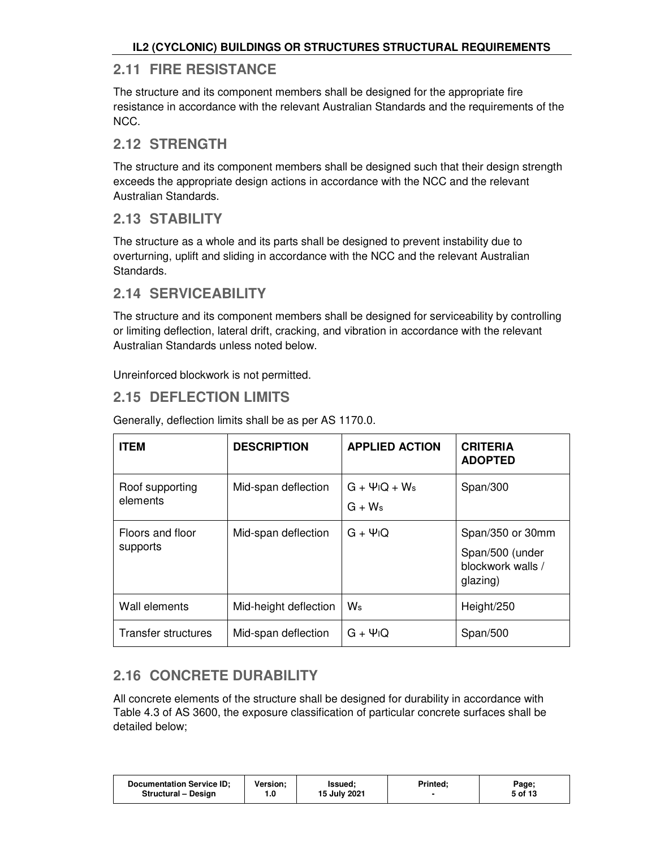## **2.11 FIRE RESISTANCE**

The structure and its component members shall be designed for the appropriate fire resistance in accordance with the relevant Australian Standards and the requirements of the NCC.

## **2.12 STRENGTH**

The structure and its component members shall be designed such that their design strength exceeds the appropriate design actions in accordance with the NCC and the relevant Australian Standards.

## **2.13 STABILITY**

The structure as a whole and its parts shall be designed to prevent instability due to overturning, uplift and sliding in accordance with the NCC and the relevant Australian Standards.

## **2.14 SERVICEABILITY**

The structure and its component members shall be designed for serviceability by controlling or limiting deflection, lateral drift, cracking, and vibration in accordance with the relevant Australian Standards unless noted below.

Unreinforced blockwork is not permitted.

## **2.15 DEFLECTION LIMITS**

| <b>ITEM</b>                  | <b>DESCRIPTION</b>    | <b>APPLIED ACTION</b>                                   | <b>CRITERIA</b><br><b>ADOPTED</b>                                    |
|------------------------------|-----------------------|---------------------------------------------------------|----------------------------------------------------------------------|
| Roof supporting<br>elements  | Mid-span deflection   | $G + \Psi$ <sub>I</sub> Q + W <sub>s</sub><br>$G + W_s$ | Span/300                                                             |
| Floors and floor<br>supports | Mid-span deflection   | $G + \Psi$ <sub>I</sub> Q                               | Span/350 or 30mm<br>Span/500 (under<br>blockwork walls /<br>glazing) |
| Wall elements                | Mid-height deflection | Ws                                                      | Height/250                                                           |
| Transfer structures          | Mid-span deflection   | $G + \Psi$ <sub>I</sub> Q                               | Span/500                                                             |

Generally, deflection limits shall be as per AS 1170.0.

# **2.16 CONCRETE DURABILITY**

All concrete elements of the structure shall be designed for durability in accordance with Table 4.3 of AS 3600, the exposure classification of particular concrete surfaces shall be detailed below;

| <b>Documentation Service ID:</b> | Version: | lssued:      | Printed: | Page;   |
|----------------------------------|----------|--------------|----------|---------|
| Structural - Design              | 1.0      | 15 July 2021 |          | 5 of 13 |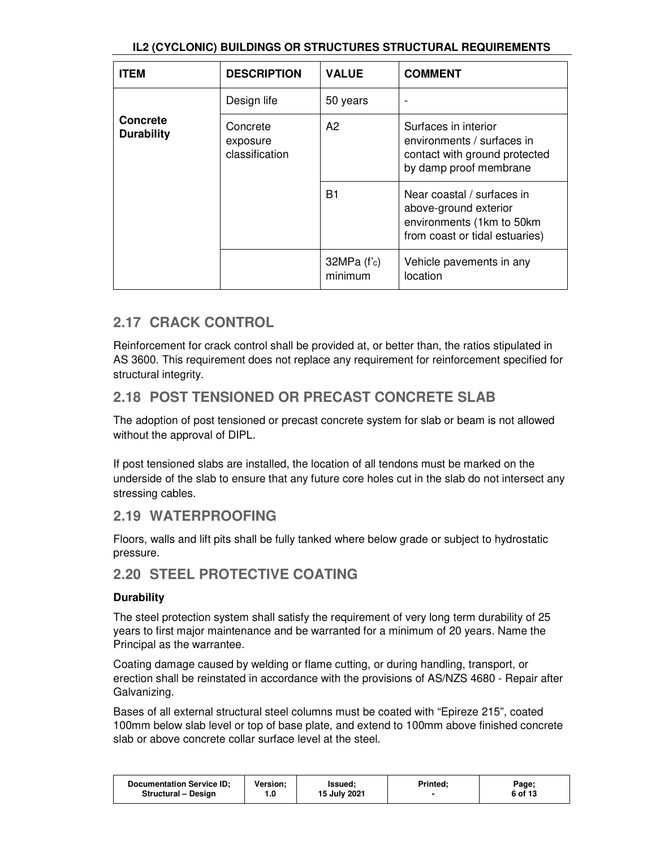| <b>ITEM</b>                          | <b>DESCRIPTION</b>                     | <b>VALUE</b>             | <b>COMMENT</b>                                                                                                     |
|--------------------------------------|----------------------------------------|--------------------------|--------------------------------------------------------------------------------------------------------------------|
|                                      | Design life                            | 50 years                 |                                                                                                                    |
| <b>Concrete</b><br><b>Durability</b> | Concrete<br>exposure<br>classification | A2                       | Surfaces in interior<br>environments / surfaces in<br>contact with ground protected<br>by damp proof membrane      |
|                                      |                                        | B1                       | Near coastal / surfaces in<br>above-ground exterior<br>environments (1km to 50km<br>from coast or tidal estuaries) |
|                                      |                                        | $32MPa$ (f'c)<br>minimum | Vehicle pavements in any<br>location                                                                               |

## **2.17 CRACK CONTROL**

Reinforcement for crack control shall be provided at, or better than, the ratios stipulated in AS 3600. This requirement does not replace any requirement for reinforcement specified for structural integrity.

## **2.18 POST TENSIONED OR PRECAST CONCRETE SLAB**

The adoption of post tensioned or precast concrete system for slab or beam is not allowed without the approval of DIPL.

If post tensioned slabs are installed, the location of all tendons must be marked on the underside of the slab to ensure that any future core holes cut in the slab do not intersect any stressing cables.

### **2.19 WATERPROOFING**

Floors, walls and lift pits shall be fully tanked where below grade or subject to hydrostatic pressure.

## **2.20 STEEL PROTECTIVE COATING**

### **Durability**

The steel protection system shall satisfy the requirement of very long term durability of 25 years to first major maintenance and be warranted for a minimum of 20 years. Name the Principal as the warrantee.

Coating damage caused by welding or flame cutting, or during handling, transport, or erection shall be reinstated in accordance with the provisions of AS/NZS 4680 - Repair after Galvanizing.

Bases of all external structural steel columns must be coated with "Epireze 215", coated 100mm below slab level or top of base plate, and extend to 100mm above finished concrete slab or above concrete collar surface level at the steel.

| <b>Documentation Service ID:</b> | <b>Version:</b> | <b>Issued:</b> | <b>Printed:</b> | Page;   |
|----------------------------------|-----------------|----------------|-----------------|---------|
| Structural - Design              | 0. ا            | 15 July 2021   |                 | 6 of 13 |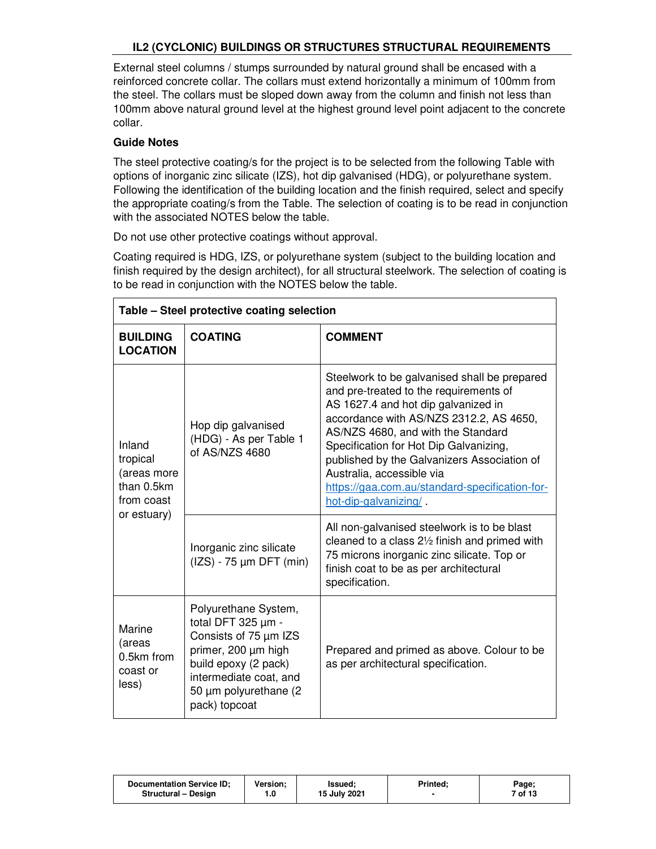External steel columns / stumps surrounded by natural ground shall be encased with a reinforced concrete collar. The collars must extend horizontally a minimum of 100mm from the steel. The collars must be sloped down away from the column and finish not less than 100mm above natural ground level at the highest ground level point adjacent to the concrete collar.

### **Guide Notes**

The steel protective coating/s for the project is to be selected from the following Table with options of inorganic zinc silicate (IZS), hot dip galvanised (HDG), or polyurethane system. Following the identification of the building location and the finish required, select and specify the appropriate coating/s from the Table. The selection of coating is to be read in conjunction with the associated NOTES below the table.

Do not use other protective coatings without approval.

Coating required is HDG, IZS, or polyurethane system (subject to the building location and finish required by the design architect), for all structural steelwork. The selection of coating is to be read in conjunction with the NOTES below the table.

| Table - Steel protective coating selection                                   |                                                                                                                                                                                         |                                                                                                                                                                                                                                                                                                                                                                                                                                                               |  |  |
|------------------------------------------------------------------------------|-----------------------------------------------------------------------------------------------------------------------------------------------------------------------------------------|---------------------------------------------------------------------------------------------------------------------------------------------------------------------------------------------------------------------------------------------------------------------------------------------------------------------------------------------------------------------------------------------------------------------------------------------------------------|--|--|
| <b>BUILDING</b><br><b>LOCATION</b>                                           | <b>COATING</b>                                                                                                                                                                          | <b>COMMENT</b>                                                                                                                                                                                                                                                                                                                                                                                                                                                |  |  |
| Inland<br>tropical<br>(areas more<br>than 0.5km<br>from coast<br>or estuary) | Hop dip galvanised<br>(HDG) - As per Table 1<br>of AS/NZS 4680                                                                                                                          | Steelwork to be galvanised shall be prepared<br>and pre-treated to the requirements of<br>AS 1627.4 and hot dip galvanized in<br>accordance with AS/NZS 2312.2, AS 4650,<br>AS/NZS 4680, and with the Standard<br>Specification for Hot Dip Galvanizing,<br>published by the Galvanizers Association of<br>Australia, accessible via<br>https://gaa.com.au/standard-specification-for-<br>hot-dip-galvanizing/<br>All non-galvanised steelwork is to be blast |  |  |
|                                                                              | Inorganic zinc silicate<br>$(IZS) - 75 \mu m$ DFT (min)                                                                                                                                 | cleaned to a class $2\frac{1}{2}$ finish and primed with<br>75 microns inorganic zinc silicate. Top or<br>finish coat to be as per architectural<br>specification.                                                                                                                                                                                                                                                                                            |  |  |
| Marine<br>(areas<br>0.5km from<br>coast or<br>less)                          | Polyurethane System,<br>total DFT 325 µm -<br>Consists of 75 µm IZS<br>primer, 200 µm high<br>build epoxy (2 pack)<br>intermediate coat, and<br>50 µm polyurethane (2)<br>pack) topcoat | Prepared and primed as above. Colour to be<br>as per architectural specification.                                                                                                                                                                                                                                                                                                                                                                             |  |  |

| <b>Documentation Service ID:</b><br>Printed,<br><b>Version:</b><br><b>Issued:</b><br>15 July 2021<br>Structural - Design<br>1.0 | Page;<br>7 of 13 |
|---------------------------------------------------------------------------------------------------------------------------------|------------------|
|---------------------------------------------------------------------------------------------------------------------------------|------------------|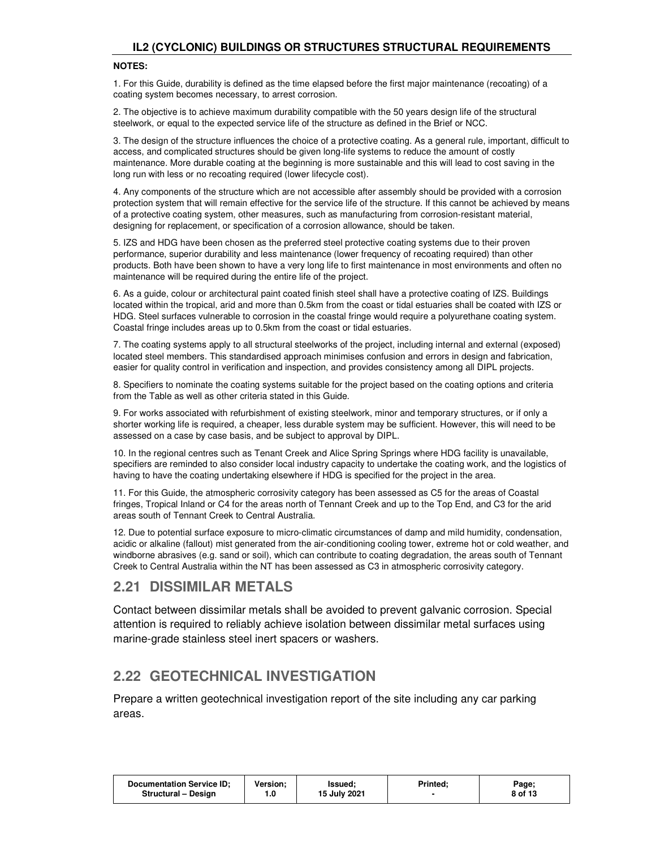#### **NOTES:**

1. For this Guide, durability is defined as the time elapsed before the first major maintenance (recoating) of a coating system becomes necessary, to arrest corrosion.

2. The objective is to achieve maximum durability compatible with the 50 years design life of the structural steelwork, or equal to the expected service life of the structure as defined in the Brief or NCC.

3. The design of the structure influences the choice of a protective coating. As a general rule, important, difficult to access, and complicated structures should be given long-life systems to reduce the amount of costly maintenance. More durable coating at the beginning is more sustainable and this will lead to cost saving in the long run with less or no recoating required (lower lifecycle cost).

4. Any components of the structure which are not accessible after assembly should be provided with a corrosion protection system that will remain effective for the service life of the structure. If this cannot be achieved by means of a protective coating system, other measures, such as manufacturing from corrosion-resistant material, designing for replacement, or specification of a corrosion allowance, should be taken.

5. IZS and HDG have been chosen as the preferred steel protective coating systems due to their proven performance, superior durability and less maintenance (lower frequency of recoating required) than other products. Both have been shown to have a very long life to first maintenance in most environments and often no maintenance will be required during the entire life of the project.

6. As a guide, colour or architectural paint coated finish steel shall have a protective coating of IZS. Buildings located within the tropical, arid and more than 0.5km from the coast or tidal estuaries shall be coated with IZS or HDG. Steel surfaces vulnerable to corrosion in the coastal fringe would require a polyurethane coating system. Coastal fringe includes areas up to 0.5km from the coast or tidal estuaries.

7. The coating systems apply to all structural steelworks of the project, including internal and external (exposed) located steel members. This standardised approach minimises confusion and errors in design and fabrication, easier for quality control in verification and inspection, and provides consistency among all DIPL projects.

8. Specifiers to nominate the coating systems suitable for the project based on the coating options and criteria from the Table as well as other criteria stated in this Guide.

9. For works associated with refurbishment of existing steelwork, minor and temporary structures, or if only a shorter working life is required, a cheaper, less durable system may be sufficient. However, this will need to be assessed on a case by case basis, and be subject to approval by DIPL.

10. In the regional centres such as Tenant Creek and Alice Spring Springs where HDG facility is unavailable, specifiers are reminded to also consider local industry capacity to undertake the coating work, and the logistics of having to have the coating undertaking elsewhere if HDG is specified for the project in the area.

11. For this Guide, the atmospheric corrosivity category has been assessed as C5 for the areas of Coastal fringes, Tropical Inland or C4 for the areas north of Tennant Creek and up to the Top End, and C3 for the arid areas south of Tennant Creek to Central Australia.

12. Due to potential surface exposure to micro-climatic circumstances of damp and mild humidity, condensation, acidic or alkaline (fallout) mist generated from the air-conditioning cooling tower, extreme hot or cold weather, and windborne abrasives (e.g. sand or soil), which can contribute to coating degradation, the areas south of Tennant Creek to Central Australia within the NT has been assessed as C3 in atmospheric corrosivity category.

### **2.21 DISSIMILAR METALS**

Contact between dissimilar metals shall be avoided to prevent galvanic corrosion. Special attention is required to reliably achieve isolation between dissimilar metal surfaces using marine-grade stainless steel inert spacers or washers.

## **2.22 GEOTECHNICAL INVESTIGATION**

Prepare a written geotechnical investigation report of the site including any car parking areas.

| Documentation Service ID;<br><b>Printed:</b><br><b>Version:</b><br>Page;<br>lssued:<br>15 July 2021<br>8 of 13<br><b>Structural - Design</b><br>. .0 |
|------------------------------------------------------------------------------------------------------------------------------------------------------|
|------------------------------------------------------------------------------------------------------------------------------------------------------|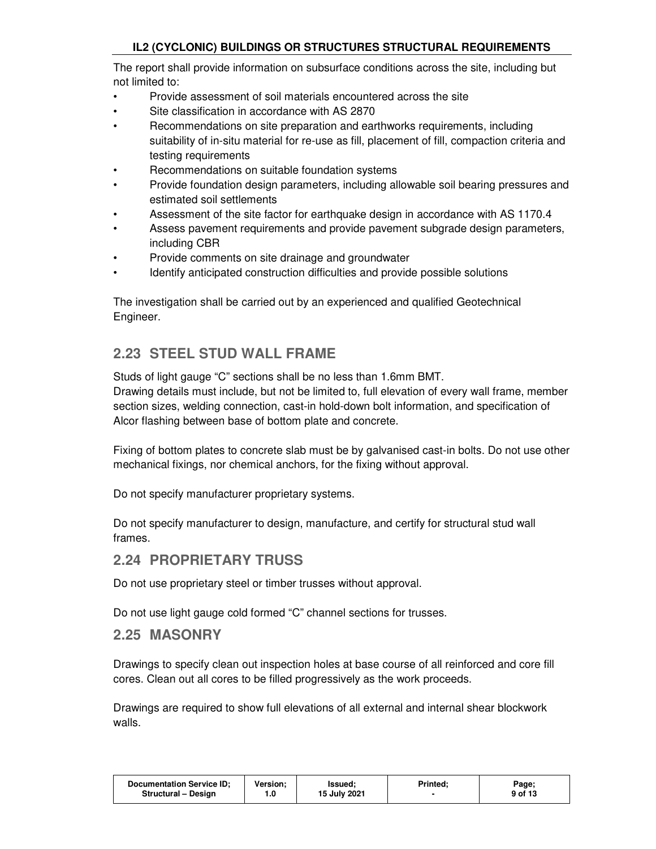The report shall provide information on subsurface conditions across the site, including but not limited to:

- Provide assessment of soil materials encountered across the site
- Site classification in accordance with AS 2870
- Recommendations on site preparation and earthworks requirements, including suitability of in-situ material for re-use as fill, placement of fill, compaction criteria and testing requirements
- Recommendations on suitable foundation systems
- Provide foundation design parameters, including allowable soil bearing pressures and estimated soil settlements
- Assessment of the site factor for earthquake design in accordance with AS 1170.4
- Assess pavement requirements and provide pavement subgrade design parameters, including CBR
- Provide comments on site drainage and groundwater
- Identify anticipated construction difficulties and provide possible solutions

The investigation shall be carried out by an experienced and qualified Geotechnical Engineer.

## **2.23 STEEL STUD WALL FRAME**

Studs of light gauge "C" sections shall be no less than 1.6mm BMT.

Drawing details must include, but not be limited to, full elevation of every wall frame, member section sizes, welding connection, cast-in hold-down bolt information, and specification of Alcor flashing between base of bottom plate and concrete.

Fixing of bottom plates to concrete slab must be by galvanised cast-in bolts. Do not use other mechanical fixings, nor chemical anchors, for the fixing without approval.

Do not specify manufacturer proprietary systems.

Do not specify manufacturer to design, manufacture, and certify for structural stud wall frames.

### **2.24 PROPRIETARY TRUSS**

Do not use proprietary steel or timber trusses without approval.

Do not use light gauge cold formed "C" channel sections for trusses.

### **2.25 MASONRY**

Drawings to specify clean out inspection holes at base course of all reinforced and core fill cores. Clean out all cores to be filled progressively as the work proceeds.

Drawings are required to show full elevations of all external and internal shear blockwork walls.

| <b>Documentation Service ID:</b><br><b>Structural - Design</b> | Version: | lssued:<br>15 July 2021 | <b>Printed:</b> | Page;<br>9 of 13 |
|----------------------------------------------------------------|----------|-------------------------|-----------------|------------------|
|                                                                |          |                         |                 |                  |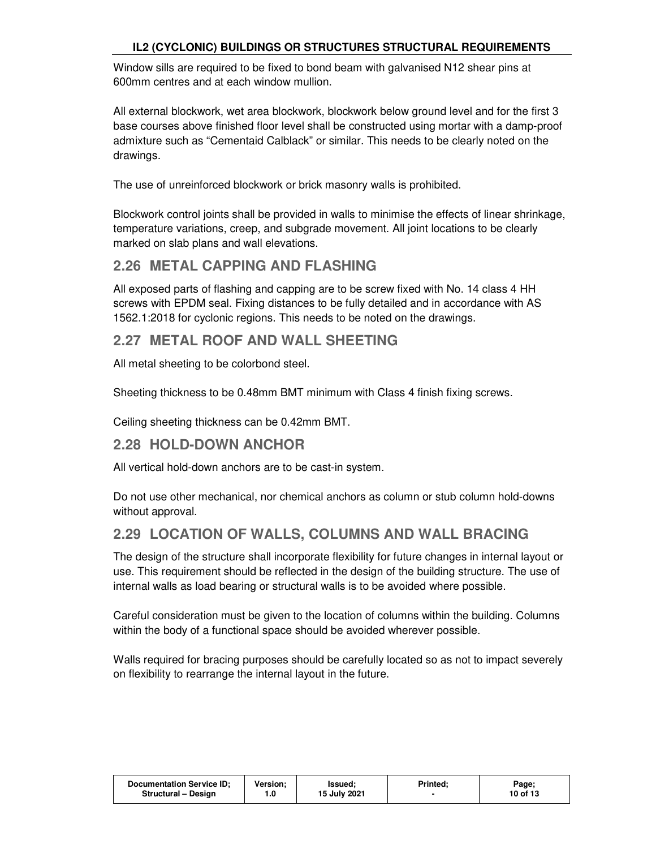Window sills are required to be fixed to bond beam with galvanised N12 shear pins at 600mm centres and at each window mullion.

All external blockwork, wet area blockwork, blockwork below ground level and for the first 3 base courses above finished floor level shall be constructed using mortar with a damp-proof admixture such as "Cementaid Calblack" or similar. This needs to be clearly noted on the drawings.

The use of unreinforced blockwork or brick masonry walls is prohibited.

Blockwork control joints shall be provided in walls to minimise the effects of linear shrinkage, temperature variations, creep, and subgrade movement. All joint locations to be clearly marked on slab plans and wall elevations.

## **2.26 METAL CAPPING AND FLASHING**

All exposed parts of flashing and capping are to be screw fixed with No. 14 class 4 HH screws with EPDM seal. Fixing distances to be fully detailed and in accordance with AS 1562.1:2018 for cyclonic regions. This needs to be noted on the drawings.

## **2.27 METAL ROOF AND WALL SHEETING**

All metal sheeting to be colorbond steel.

Sheeting thickness to be 0.48mm BMT minimum with Class 4 finish fixing screws.

Ceiling sheeting thickness can be 0.42mm BMT.

## **2.28 HOLD-DOWN ANCHOR**

All vertical hold-down anchors are to be cast-in system.

Do not use other mechanical, nor chemical anchors as column or stub column hold-downs without approval.

## **2.29 LOCATION OF WALLS, COLUMNS AND WALL BRACING**

The design of the structure shall incorporate flexibility for future changes in internal layout or use. This requirement should be reflected in the design of the building structure. The use of internal walls as load bearing or structural walls is to be avoided where possible.

Careful consideration must be given to the location of columns within the building. Columns within the body of a functional space should be avoided wherever possible.

Walls required for bracing purposes should be carefully located so as not to impact severely on flexibility to rearrange the internal layout in the future.

| <b>Documentation Service ID:</b> | Version: | lssued:      | Printed: | Page;    |
|----------------------------------|----------|--------------|----------|----------|
| <b>Structural - Design</b>       | 0. ا     | 15 July 2021 |          | 10 of 13 |
|                                  |          |              |          |          |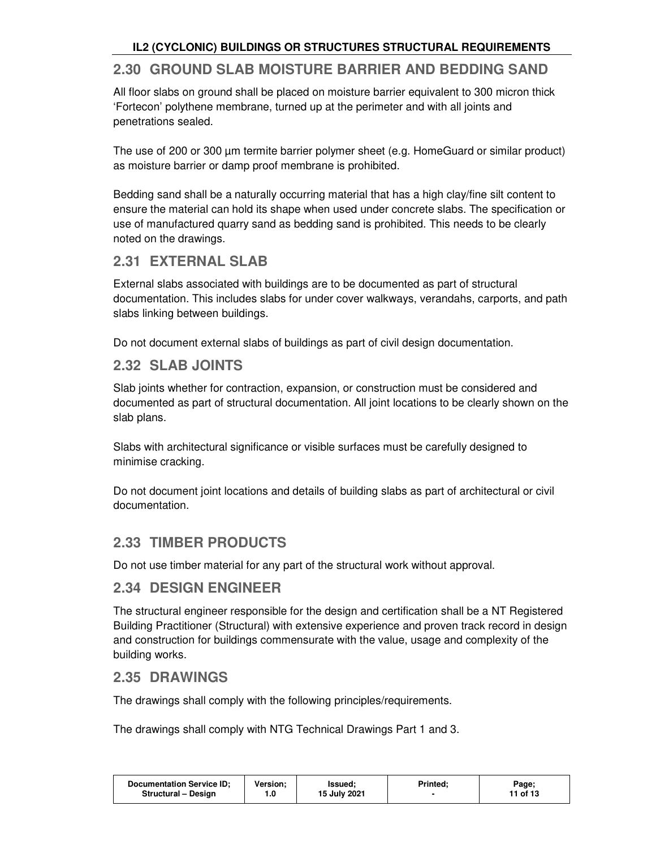## **2.30 GROUND SLAB MOISTURE BARRIER AND BEDDING SAND**

All floor slabs on ground shall be placed on moisture barrier equivalent to 300 micron thick 'Fortecon' polythene membrane, turned up at the perimeter and with all joints and penetrations sealed.

The use of 200 or 300 µm termite barrier polymer sheet (e.g. HomeGuard or similar product) as moisture barrier or damp proof membrane is prohibited.

Bedding sand shall be a naturally occurring material that has a high clay/fine silt content to ensure the material can hold its shape when used under concrete slabs. The specification or use of manufactured quarry sand as bedding sand is prohibited. This needs to be clearly noted on the drawings.

## **2.31 EXTERNAL SLAB**

External slabs associated with buildings are to be documented as part of structural documentation. This includes slabs for under cover walkways, verandahs, carports, and path slabs linking between buildings.

Do not document external slabs of buildings as part of civil design documentation.

## **2.32 SLAB JOINTS**

Slab joints whether for contraction, expansion, or construction must be considered and documented as part of structural documentation. All joint locations to be clearly shown on the slab plans.

Slabs with architectural significance or visible surfaces must be carefully designed to minimise cracking.

Do not document joint locations and details of building slabs as part of architectural or civil documentation.

## **2.33 TIMBER PRODUCTS**

Do not use timber material for any part of the structural work without approval.

## **2.34 DESIGN ENGINEER**

The structural engineer responsible for the design and certification shall be a NT Registered Building Practitioner (Structural) with extensive experience and proven track record in design and construction for buildings commensurate with the value, usage and complexity of the building works.

### **2.35 DRAWINGS**

The drawings shall comply with the following principles/requirements.

The drawings shall comply with NTG Technical Drawings Part 1 and 3.

| Documentation Service ID; | Version: | lssued:      | Printed: | Page;    |
|---------------------------|----------|--------------|----------|----------|
| Structural - Design       | . .0     | 15 July 2021 |          | 11 of 13 |
|                           |          |              |          |          |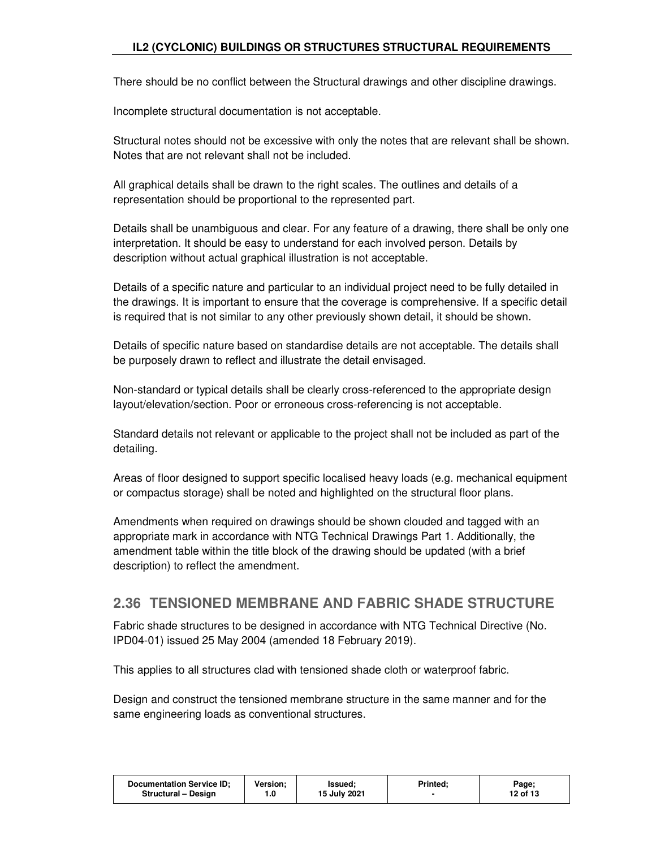There should be no conflict between the Structural drawings and other discipline drawings.

Incomplete structural documentation is not acceptable.

Structural notes should not be excessive with only the notes that are relevant shall be shown. Notes that are not relevant shall not be included.

All graphical details shall be drawn to the right scales. The outlines and details of a representation should be proportional to the represented part.

Details shall be unambiguous and clear. For any feature of a drawing, there shall be only one interpretation. It should be easy to understand for each involved person. Details by description without actual graphical illustration is not acceptable.

Details of a specific nature and particular to an individual project need to be fully detailed in the drawings. It is important to ensure that the coverage is comprehensive. If a specific detail is required that is not similar to any other previously shown detail, it should be shown.

Details of specific nature based on standardise details are not acceptable. The details shall be purposely drawn to reflect and illustrate the detail envisaged.

Non-standard or typical details shall be clearly cross-referenced to the appropriate design layout/elevation/section. Poor or erroneous cross-referencing is not acceptable.

Standard details not relevant or applicable to the project shall not be included as part of the detailing.

Areas of floor designed to support specific localised heavy loads (e.g. mechanical equipment or compactus storage) shall be noted and highlighted on the structural floor plans.

Amendments when required on drawings should be shown clouded and tagged with an appropriate mark in accordance with NTG Technical Drawings Part 1. Additionally, the amendment table within the title block of the drawing should be updated (with a brief description) to reflect the amendment.

## **2.36 TENSIONED MEMBRANE AND FABRIC SHADE STRUCTURE**

Fabric shade structures to be designed in accordance with NTG Technical Directive (No. IPD04-01) issued 25 May 2004 (amended 18 February 2019).

This applies to all structures clad with tensioned shade cloth or waterproof fabric.

Design and construct the tensioned membrane structure in the same manner and for the same engineering loads as conventional structures.

| Documentation Service ID;<br>Version:<br><b>Printed:</b><br>Page;<br>Issued:<br>15 July 2021<br>12 of 13<br>Structural - Design<br>0. ا |
|-----------------------------------------------------------------------------------------------------------------------------------------|
|-----------------------------------------------------------------------------------------------------------------------------------------|